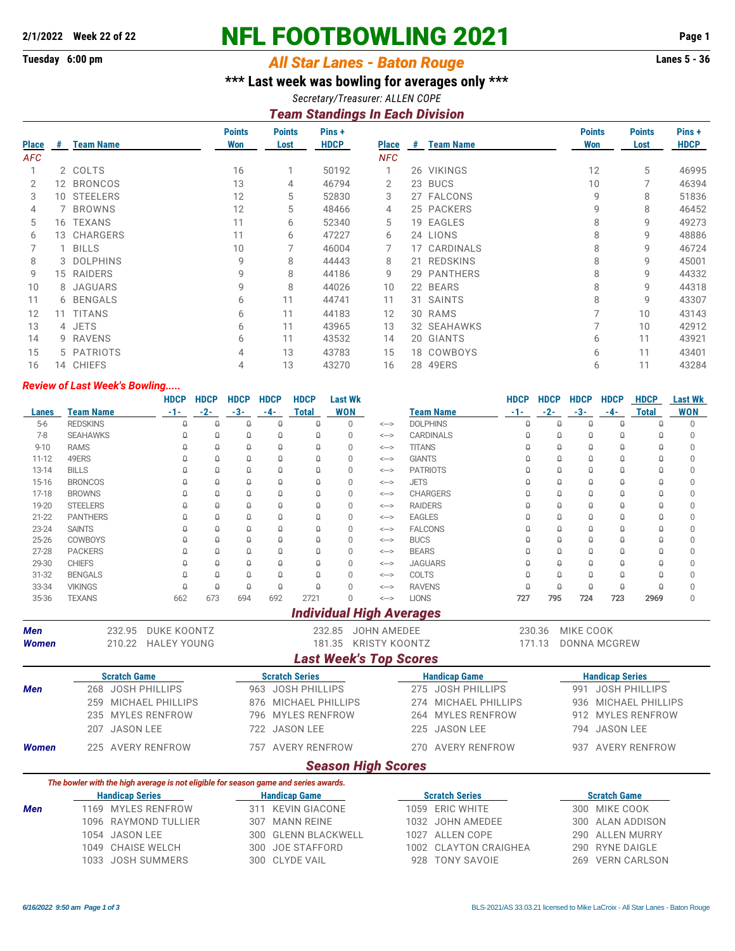## **2/1/2022 Week 22 of 22 NFL FOOTBOWLING 2021 Page 1**

## **Tuesday 6:00 pm** *All Star Lanes - Baton Rouge* **Lanes 5 - 36**

**\*\*\* Last week was bowling for averages only \*\*\***

*Secretary/Treasurer: ALLEN COPE*

## *Team Standings In Each Division*

|              |   |                  | <b>Points</b> | <b>Points</b> | Pins+       |              |    |                  | <b>Points</b> | <b>Points</b> | Pins +      |
|--------------|---|------------------|---------------|---------------|-------------|--------------|----|------------------|---------------|---------------|-------------|
| <b>Place</b> | # | <b>Team Name</b> | Won           | Lost          | <b>HDCP</b> | <b>Place</b> | -# | <b>Team Name</b> | Won           | Lost          | <b>HDCP</b> |
| <b>AFC</b>   |   |                  |               |               |             | <b>NFC</b>   |    |                  |               |               |             |
|              |   | 2 COLTS          | 16            |               | 50192       |              |    | 26 VIKINGS       | 12            | 5             | 46995       |
|              |   | 12 BRONCOS       | 13            | 4             | 46794       | 2            |    | 23 BUCS          | 10            |               | 46394       |
| 3            |   | 10 STEELERS      | 12            | 5             | 52830       | 3            |    | 27 FALCONS       | 9             | 8             | 51836       |
| 4            |   | 7 BROWNS         | 12            | 5             | 48466       | 4            |    | 25 PACKERS       | 9             | 8             | 46452       |
| 5            |   | 16 TEXANS        | 11            | 6             | 52340       | 5            |    | 19 EAGLES        | 8             | 9             | 49273       |
| 6            |   | 13 CHARGERS      | 11            | 6             | 47227       | 6            |    | 24 LIONS         | 8             | 9             | 48886       |
|              |   | 1 BILLS          | 10            |               | 46004       |              |    | 17 CARDINALS     |               | 9             | 46724       |
| 8            |   | 3 DOLPHINS       | 9             | 8             | 44443       | 8            |    | 21 REDSKINS      | 8             | 9             | 45001       |
| 9            |   | 15 RAIDERS       | 9             | 8             | 44186       | 9            |    | 29 PANTHERS      |               | 9             | 44332       |
| 10           |   | 8 JAGUARS        | 9             | 8             | 44026       | 10           |    | 22 BEARS         | 8             | 9             | 44318       |
| 11           |   | 6 BENGALS        | 6             | 11            | 44741       | 11           |    | 31 SAINTS        | 8             | 9             | 43307       |
| 12           |   | 11 TITANS        | 6             | 11            | 44183       | 12           |    | 30 RAMS          |               | 10            | 43143       |
| 13           |   | 4 JETS           | 6             | 11            | 43965       | 13           |    | 32 SEAHAWKS      |               | 10            | 42912       |
| 14           |   | 9 RAVENS         | 6             | 11            | 43532       | 14           |    | 20 GIANTS        | 6             | 11            | 43921       |
| 15           |   | 5 PATRIOTS       | 4             | 13            | 43783       | 15           |    | 18 COWBOYS       | 6             | 11            | 43401       |
| 16           |   | 14 CHIEFS        | 4             | 13            | 43270       | 16           |    | 28 49ERS         | 6             | 11            | 43284       |

## *Review of Last Week's Bowling.....*

|              |                  |                        | <b>HDCP</b>                                                                         | <b>HDCP</b> | <b>HDCP</b>          | <b>HDCP</b> | <b>HDCP</b>             | <b>Last Wk</b> |                                 |                 |                         | <b>HDCP</b> | <b>HDCP</b>          | <b>HDCP</b> | <b>HDCP</b>            | <b>HDCP</b>             | <b>Last Wk</b> |
|--------------|------------------|------------------------|-------------------------------------------------------------------------------------|-------------|----------------------|-------------|-------------------------|----------------|---------------------------------|-----------------|-------------------------|-------------|----------------------|-------------|------------------------|-------------------------|----------------|
| Lanes        | <b>Team Name</b> |                        | $-1-$                                                                               | $-2-$       | $-3-$                | $-4-$       | <b>Total</b>            | <b>WON</b>     |                                 |                 | <b>Team Name</b>        | $-1-$       | $-2-$                | $-3-$       | $-4-$                  | <b>Total</b>            | <b>WON</b>     |
| $5-6$        | <b>REDSKINS</b>  |                        | Δ                                                                                   | $\theta$    | $\theta$             | $\theta$    | $\theta$                | $\Omega$       | $\Longleftrightarrow$           | <b>DOLPHINS</b> |                         | $\Omega$    | $\theta$             | $\theta$    | $\theta$               | $\theta$                | $\Omega$       |
| $7 - 8$      | <b>SEAHAWKS</b>  |                        | $\Theta$                                                                            | θ           | $\hbox{\large\it Q}$ | $\Theta$    | $\hbox{\large\it Q}$    | 0              | $\Longleftrightarrow$           |                 | <b>CARDINALS</b>        | Q           | $\hbox{\large\it q}$ | $\theta$    | $\theta$               | $\theta$                | $\Omega$       |
| $9 - 10$     | <b>RAMS</b>      |                        | $\Omega$                                                                            | $\Box$      | $\theta$             | $\theta$    | $\theta$                | $\Omega$       | $\Longleftrightarrow$           | <b>TITANS</b>   |                         | $\Omega$    | Q                    | $\theta$    | $\theta$               | $\Omega$                | $\Omega$       |
| $11 - 12$    | 49ERS            |                        | $\Omega$                                                                            | $\Omega$    | $\theta$             | $\theta$    | $\Theta$                | $\Omega$       | $\Longleftrightarrow$           | <b>GIANTS</b>   |                         | $\Omega$    | Û                    | $\Theta$    | $\theta$               | $\Omega$                | 0              |
| $13 - 14$    | <b>BILLS</b>     |                        | Q                                                                                   | $\theta$    | $\theta$             | $\theta$    | $\Theta$                | $\Omega$       | $\Longleftrightarrow$           | <b>PATRIOTS</b> |                         | $\Omega$    | $\theta$             | $\theta$    | $\Omega$               | $\Omega$                | $\Omega$       |
| 15-16        | <b>BRONCOS</b>   |                        | $\theta$                                                                            | $\theta$    | $\theta$             | $\theta$    | $\theta$                | $\Omega$       | $\leftarrow$                    | <b>JETS</b>     |                         | Δ           | $\theta$             | $\Theta$    | $\theta$               | $\theta$                | 0              |
| $17 - 18$    | <b>BROWNS</b>    |                        | Q                                                                                   | $\theta$    | $\theta$             | $\theta$    | $\theta$                | $\Omega$       | $\Longleftrightarrow$           |                 | <b>CHARGERS</b>         | $\Omega$    | $\theta$             | $\theta$    | $\theta$               | $\theta$                | 0              |
| 19-20        | <b>STEELERS</b>  |                        | $\theta$                                                                            | $\theta$    | $\theta$             | $\theta$    | Û                       | $\Omega$       | $\Longleftrightarrow$           | <b>RAIDERS</b>  |                         | $\theta$    | $\theta$             | $\theta$    | $\theta$               | $\theta$                | $\Omega$       |
| $21 - 22$    | <b>PANTHERS</b>  |                        | Q                                                                                   | $\Omega$    | $\theta$             | $\theta$    | $\theta$                | $\Omega$       | $\Longleftrightarrow$           | <b>EAGLES</b>   |                         | Δ           | $\theta$             | $\theta$    | $\Omega$               | $\theta$                | 0              |
| 23-24        | <b>SAINTS</b>    |                        | Q                                                                                   | $\theta$    | $\theta$             | $\theta$    | $\theta$                | $\Omega$       | $\Longleftrightarrow$           | <b>FALCONS</b>  |                         | $\Omega$    | 0                    | $\theta$    | $\Omega$               | $\Omega$                | 0              |
| 25-26        | <b>COWBOYS</b>   |                        | $\theta$                                                                            | $\theta$    | $\theta$             | $\theta$    | $\Theta$                | $\Omega$       | $\Longleftrightarrow$           | <b>BUCS</b>     |                         | $\Omega$    | $\theta$             | $\theta$    | $\theta$               | $\Omega$                | $\Omega$       |
| $27 - 28$    | <b>PACKERS</b>   |                        | Q                                                                                   | $\theta$    | $\theta$             | $\theta$    | $\Theta$                | $\Omega$       | $\leftarrow$                    | <b>BEARS</b>    |                         | Δ           | $\theta$             | $\theta$    | $\theta$               | $\Omega$                | 0              |
| 29-30        | <b>CHIEFS</b>    |                        | $\Omega$                                                                            | $\theta$    | $\hbox{\large\it Q}$ | $\theta$    | $\theta$                | $\Omega$       | $\Longleftrightarrow$           | <b>JAGUARS</b>  |                         | Q           | $\theta$             | $\theta$    | $\theta$               | $\theta$                | 0              |
| $31 - 32$    | <b>BENGALS</b>   |                        | $\Omega$                                                                            | $\theta$    | $\theta$             | $\theta$    | $\theta$                | $\Omega$       | $\Longleftrightarrow$           | COLTS           |                         | $\theta$    | $\theta$             | $\theta$    | $\theta$               | $\theta$                | 0              |
| 33-34        | <b>VIKINGS</b>   |                        | $\theta$                                                                            | $\theta$    | $\theta$             | $\theta$    | $\theta$                | $\Omega$       | $\Longleftrightarrow$           | <b>RAVENS</b>   |                         | $\theta$    | $\theta$             | $\theta$    | $\theta$               | $\theta$                | 0              |
| 35-36        | <b>TEXANS</b>    |                        | 662                                                                                 | 673         | 694                  | 692         | 2721                    | $\Omega$       | $\leftarrow$                    | <b>LIONS</b>    |                         | 727         | 795                  | 724         | 723                    | 2969                    | 0              |
|              |                  |                        |                                                                                     |             |                      |             |                         |                | <b>Individual High Averages</b> |                 |                         |             |                      |             |                        |                         |                |
| <b>Men</b>   |                  | 232.95                 | <b>DUKE KOONTZ</b>                                                                  |             |                      |             |                         | 232.85         | <b>JOHN AMEDEE</b>              |                 |                         |             | 230.36               | MIKE COOK   |                        |                         |                |
| Women        |                  | 210.22                 | <b>HALEY YOUNG</b>                                                                  |             |                      |             |                         |                | 181.35 KRISTY KOONTZ            |                 |                         |             | 171.13               |             | DONNA MCGREW           |                         |                |
|              |                  |                        |                                                                                     |             |                      |             |                         |                | <b>Last Week's Top Scores</b>   |                 |                         |             |                      |             |                        |                         |                |
|              |                  | <b>Scratch Game</b>    |                                                                                     |             |                      |             | <b>Scratch Series</b>   |                |                                 |                 | <b>Handicap Game</b>    |             |                      |             | <b>Handicap Series</b> |                         |                |
| <b>Men</b>   |                  |                        | 268 JOSH PHILLIPS                                                                   |             |                      |             | 963 JOSH PHILLIPS       |                |                                 | 275             | <b>JOSH PHILLIPS</b>    |             |                      | 991         |                        | <b>JOSH PHILLIPS</b>    |                |
|              | 259              |                        | <b>MICHAEL PHILLIPS</b>                                                             |             |                      | 876         | <b>MICHAEL PHILLIPS</b> |                |                                 | 274             | <b>MICHAEL PHILLIPS</b> |             |                      | 936         |                        | <b>MICHAEL PHILLIPS</b> |                |
|              |                  |                        |                                                                                     |             |                      |             |                         |                |                                 |                 | <b>MYLES RENFROW</b>    |             |                      |             |                        |                         |                |
|              | 235              |                        | <b>MYLES RENFROW</b>                                                                |             |                      | 796         | <b>MYLES RENFROW</b>    |                |                                 | 264             |                         |             |                      | 912         |                        | <b>MYLES RENFROW</b>    |                |
|              | 207              | <b>JASON LEE</b>       |                                                                                     |             |                      | 722         | <b>JASON LEE</b>        |                |                                 | 225             | <b>JASON LEE</b>        |             |                      | 794         | <b>JASON LEE</b>       |                         |                |
| <b>Women</b> | 225              |                        | <b>AVERY RENFROW</b>                                                                |             |                      | 757         | <b>AVERY RENFROW</b>    |                |                                 | 270             | <b>AVERY RENFROW</b>    |             |                      | 937         |                        | <b>AVERY RENFROW</b>    |                |
|              |                  |                        |                                                                                     |             |                      |             |                         |                | <b>Season High Scores</b>       |                 |                         |             |                      |             |                        |                         |                |
|              |                  |                        | The bowler with the high average is not eligible for season game and series awards. |             |                      |             |                         |                |                                 |                 |                         |             |                      |             |                        |                         |                |
|              |                  | <b>Handicap Series</b> |                                                                                     |             |                      |             | <b>Handicap Game</b>    |                |                                 |                 | <b>Scratch Series</b>   |             |                      |             | <b>Scratch Game</b>    |                         |                |
| <b>Men</b>   |                  |                        | 1169 MYLES RENFROW                                                                  |             |                      |             | 311 KEVIN GIACONE       |                |                                 |                 | 1059 ERIC WHITE         |             |                      | 300         | MIKE COOK              |                         |                |
|              | 1096             |                        | RAYMOND TULLIER                                                                     |             |                      | 307         | <b>MANN REINE</b>       |                |                                 |                 | 1032 JOHN AMEDEE        |             |                      | 300         |                        | <b>ALAN ADDISON</b>     |                |
|              |                  | 1054 JASON LEE         |                                                                                     |             |                      | 300         | <b>GLENN BLACKWELL</b>  |                |                                 | 1027            | <b>ALLEN COPE</b>       |             |                      | 290         |                        | <b>ALLEN MURRY</b>      |                |
|              | 1049             |                        | <b>CHAISE WELCH</b>                                                                 |             |                      | 300         | <b>JOE STAFFORD</b>     |                |                                 | 1002            | <b>CLAYTON CRAIGHEA</b> |             |                      | 290         | <b>RYNE DAIGLE</b>     |                         |                |
|              | 1033             |                        | <b>JOSH SUMMERS</b>                                                                 |             |                      | 300         | <b>CLYDE VAIL</b>       |                |                                 | 928             | <b>TONY SAVOIE</b>      |             |                      | 269         |                        | <b>VERN CARLSON</b>     |                |
|              |                  |                        |                                                                                     |             |                      |             |                         |                |                                 |                 |                         |             |                      |             |                        |                         |                |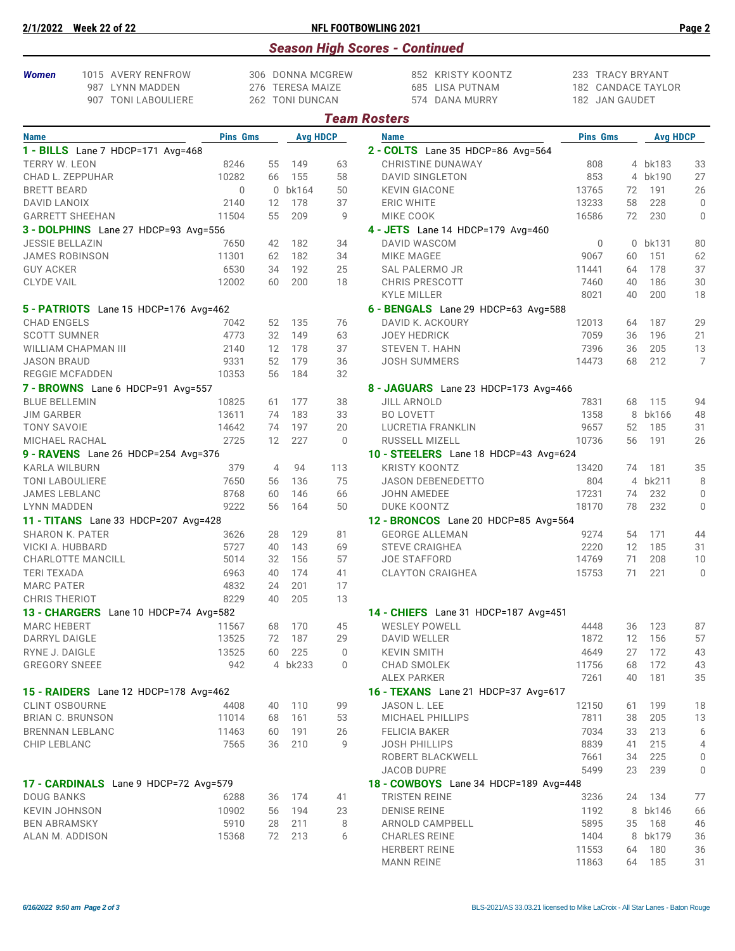| 2/1/2022                            | <b>Week 22 of 22</b>                                         |                 |          |                                                         |                   | <b>NFL FOOTBOWLING 2021</b>                            |                                                          |          |                 | Page 2         |
|-------------------------------------|--------------------------------------------------------------|-----------------|----------|---------------------------------------------------------|-------------------|--------------------------------------------------------|----------------------------------------------------------|----------|-----------------|----------------|
|                                     |                                                              |                 |          |                                                         |                   | <b>Season High Scores - Continued</b>                  |                                                          |          |                 |                |
| <b>Women</b>                        | 1015 AVERY RENFROW<br>987 LYNN MADDEN<br>907 TONI LABOULIERE |                 |          | 306 DONNA MCGREW<br>276 TERESA MAIZE<br>262 TONI DUNCAN |                   | 852 KRISTY KOONTZ<br>685 LISA PUTNAM<br>574 DANA MURRY | 233 TRACY BRYANT<br>182 CANDACE TAYLOR<br>182 JAN GAUDET |          |                 |                |
|                                     |                                                              |                 |          |                                                         |                   | <b>Team Rosters</b>                                    |                                                          |          |                 |                |
| <b>Name</b>                         |                                                              | <b>Pins Gms</b> |          | <b>Avg HDCP</b>                                         |                   | <b>Name</b>                                            | <b>Pins Gms</b>                                          |          | <b>Avg HDCP</b> |                |
|                                     | 1 - BILLS Lane 7 HDCP=171 Avg=468                            |                 |          |                                                         |                   | 2 - COLTS Lane 35 HDCP=86 Avg=564                      |                                                          |          |                 |                |
| <b>TERRY W. LEON</b>                |                                                              | 8246            | 55       | 149                                                     | 63                | <b>CHRISTINE DUNAWAY</b>                               | 808                                                      |          | 4 bk183         | 33             |
|                                     | CHAD L. ZEPPUHAR                                             | 10282           | 66       | 155                                                     | 58                | DAVID SINGLETON                                        | 853                                                      |          | 4 bk190         | 27             |
| <b>BRETT BEARD</b>                  |                                                              | $\Omega$        |          | 0 bk164                                                 | 50                | <b>KEVIN GIACONE</b>                                   | 13765                                                    | 72       | 191             | 26             |
| DAVID LANOIX                        |                                                              | 2140            | 12       | 178                                                     | 37                | <b>ERIC WHITE</b>                                      | 13233                                                    | 58       | 228             | $\Omega$       |
|                                     | <b>GARRETT SHEEHAN</b>                                       | 11504           | 55       | 209                                                     | 9                 | MIKE COOK                                              | 16586                                                    | 72       | 230             | $\Omega$       |
|                                     | 3 - DOLPHINS Lane 27 HDCP=93 Avg=556                         |                 |          |                                                         |                   | 4 - JETS Lane 14 HDCP=179 Avg=460                      |                                                          |          |                 |                |
| <b>JESSIE BELLAZIN</b>              |                                                              | 7650            | 42       | 182                                                     | 34                | DAVID WASCOM                                           | 0                                                        |          | 0 bk131         | 80             |
|                                     | <b>JAMES ROBINSON</b>                                        | 11301           | 62       | 182                                                     | 34                | <b>MIKE MAGEE</b>                                      | 9067                                                     | 60       | 151             | 62             |
| <b>GUY ACKER</b>                    |                                                              | 6530            | 34       | 192                                                     | 25                | SAL PALERMO JR                                         | 11441                                                    | 64       | 178             | 37             |
| <b>CLYDE VAIL</b>                   |                                                              | 12002           | 60       | 200                                                     | 18                | <b>CHRIS PRESCOTT</b>                                  | 7460                                                     | 40       | 186             | 30             |
|                                     |                                                              |                 |          |                                                         |                   | KYLE MILLER                                            | 8021                                                     | 40       | 200             | 18             |
|                                     | 5 - PATRIOTS Lane 15 HDCP=176 Avg=462                        |                 |          |                                                         |                   | 6 - BENGALS Lane 29 HDCP=63 Avg=588                    |                                                          |          |                 |                |
| <b>CHAD ENGELS</b>                  |                                                              | 7042            | 52       | 135                                                     | 76                | DAVID K. ACKOURY                                       | 12013                                                    | 64       | 187             | 29             |
| <b>SCOTT SUMNER</b>                 |                                                              | 4773            | 32       | 149                                                     | 63                | <b>JOEY HEDRICK</b>                                    | 7059                                                     | 36       | 196             | 21             |
|                                     | WILLIAM CHAPMAN III                                          | 2140            | 12       | 178                                                     | 37                | <b>STEVEN T. HAHN</b>                                  | 7396                                                     | 36       | 205             | 13             |
| <b>JASON BRAUD</b>                  |                                                              | 9331<br>10353   | 52<br>56 | 179<br>184                                              | 36<br>32          | <b>JOSH SUMMERS</b>                                    | 14473                                                    | 68       | 212             | 7              |
|                                     | REGGIE MCFADDEN<br>7 - BROWNS Lane 6 HDCP=91 Avg=557         |                 |          |                                                         |                   | 8 - JAGUARS Lane 23 HDCP=173 Avg=466                   |                                                          |          |                 |                |
| <b>BLUE BELLEMIN</b>                |                                                              | 10825           | 61       | 177                                                     | 38                | <b>JILL ARNOLD</b>                                     | 7831                                                     | 68       | 115             | 94             |
| <b>JIM GARBER</b>                   |                                                              | 13611           | 74       | 183                                                     | 33                | <b>BO LOVETT</b>                                       | 1358                                                     | 8        | bk166           | 48             |
| <b>TONY SAVOIE</b>                  |                                                              | 14642           | 74       | 197                                                     | 20                | LUCRETIA FRANKLIN                                      | 9657                                                     | 52       | 185             | 31             |
| MICHAEL RACHAL                      |                                                              | 2725            | 12       | 227                                                     | $\Omega$          | RUSSELL MIZELL                                         | 10736                                                    | 56       | 191             | 26             |
|                                     | 9 - RAVENS Lane 26 HDCP=254 Avg=376                          |                 |          |                                                         |                   | 10 - STEELERS Lane 18 HDCP=43 Avg=624                  |                                                          |          |                 |                |
| <b>KARLA WILBURN</b>                |                                                              | 379             | 4        | 94                                                      | 113               | <b>KRISTY KOONTZ</b>                                   | 13420                                                    | 74       | 181             | 35             |
| <b>TONI LABOULIERE</b>              |                                                              | 7650            | 56       | 136                                                     | 75                | <b>JASON DEBENEDETTO</b>                               | 804                                                      |          | 4 bk211         | 8              |
| <b>JAMES LEBLANC</b>                |                                                              | 8768            | 60       | 146                                                     | 66                | <b>JOHN AMEDEE</b>                                     | 17231                                                    | 74       | 232             | $\mathbf{0}$   |
| <b>LYNN MADDEN</b>                  |                                                              | 9222            | 56       | 164                                                     | 50                | DUKE KOONTZ                                            | 18170                                                    | 78       | 232             | $\overline{0}$ |
|                                     | 11 - TITANS Lane 33 HDCP=207 Avg=428                         |                 |          |                                                         |                   | 12 - BRONCOS Lane 20 HDCP=85 Avg=564                   |                                                          |          |                 |                |
|                                     | <b>SHARON K. PATER</b>                                       | 3626            | 28       | 129                                                     | 81                | <b>GEORGE ALLEMAN</b>                                  | 9274                                                     | 54       | 171             | 44             |
|                                     | VICKI A. HUBBARD                                             | 5727            | 40       | 143                                                     | 69                | <b>STEVE CRAIGHEA</b>                                  | 2220                                                     | 12       | 185             | 31             |
|                                     | CHARLOTTE MANCILL                                            | 5014            | 32       | 156                                                     | 57                | JOE STAFFORD                                           | 14769                                                    | 71       | 208             | 10             |
| <b>TERI TEXADA</b>                  |                                                              | 6963            | 40       | 174                                                     | 41                | <b>CLAYTON CRAIGHEA</b>                                | 15753                                                    | 71       | 221             | 0              |
| <b>MARC PATER</b>                   |                                                              | 4832            | 24       | 201                                                     | 17                |                                                        |                                                          |          |                 |                |
| <b>CHRIS THERIOT</b>                |                                                              | 8229            | 40       | 205                                                     | 13                |                                                        |                                                          |          |                 |                |
|                                     | 13 - CHARGERS Lane 10 HDCP=74 Avg=582                        |                 |          |                                                         |                   | 14 - CHIEFS Lane 31 HDCP=187 Avg=451                   |                                                          |          |                 |                |
| <b>MARC HEBERT</b><br>DARRYL DAIGLE |                                                              | 11567           | 68       | 170                                                     | 45                | <b>WESLEY POWELL</b>                                   | 4448                                                     | 36       | 123             | 87             |
| RYNE J. DAIGLE                      |                                                              | 13525<br>13525  | 72<br>60 | 187<br>225                                              | 29<br>$\mathbf 0$ | DAVID WELLER<br><b>KEVIN SMITH</b>                     | 1872<br>4649                                             | 12<br>27 | 156<br>172      | 57<br>43       |
| <b>GREGORY SNEEE</b>                |                                                              | 942             |          | 4 bk233                                                 | 0                 | CHAD SMOLEK                                            | 11756                                                    | 68       | 172             | 43             |
|                                     |                                                              |                 |          |                                                         |                   | ALEX PARKER                                            | 7261                                                     | 40       | 181             | 35             |
|                                     | 15 - RAIDERS Lane 12 HDCP=178 Avg=462                        |                 |          |                                                         |                   | 16 - TEXANS Lane 21 HDCP=37 Avg=617                    |                                                          |          |                 |                |
| <b>CLINT OSBOURNE</b>               |                                                              | 4408            | 40       | 110                                                     | 99                | JASON L. LEE                                           | 12150                                                    | 61       | 199             | 18             |
|                                     | <b>BRIAN C. BRUNSON</b>                                      | 11014           | 68       | 161                                                     | 53                | MICHAEL PHILLIPS                                       | 7811                                                     | 38       | 205             | 13             |
|                                     | <b>BRENNAN LEBLANC</b>                                       | 11463           | 60       | 191                                                     | 26                | <b>FELICIA BAKER</b>                                   | 7034                                                     | 33       | 213             | 6              |
| CHIP LEBLANC                        |                                                              | 7565            | 36       | 210                                                     | 9                 | <b>JOSH PHILLIPS</b>                                   | 8839                                                     | 41       | 215             | 4              |
|                                     |                                                              |                 |          |                                                         |                   | ROBERT BLACKWELL                                       | 7661                                                     | 34       | 225             | 0              |
|                                     |                                                              |                 |          |                                                         |                   | JACOB DUPRE                                            | 5499                                                     | 23       | 239             | $\mathbf{0}$   |
|                                     | 17 - CARDINALS Lane 9 HDCP=72 Avg=579                        |                 |          |                                                         |                   | 18 - COWBOYS Lane 34 HDCP=189 Avg=448                  |                                                          |          |                 |                |
| <b>DOUG BANKS</b>                   |                                                              | 6288            | 36       | 174                                                     | 41                | <b>TRISTEN REINE</b>                                   | 3236                                                     | 24       | 134             | 77             |
| <b>KEVIN JOHNSON</b>                |                                                              | 10902           | 56       | 194                                                     | 23                | <b>DENISE REINE</b>                                    | 1192                                                     |          | 8 bk146         | 66             |
| <b>BEN ABRAMSKY</b>                 |                                                              | 5910            | 28       | 211                                                     | 8                 | ARNOLD CAMPBELL                                        | 5895                                                     | 35       | 168             | 46             |
|                                     | ALAN M. ADDISON                                              | 15368           | 72       | 213                                                     | 6                 | <b>CHARLES REINE</b>                                   | 1404                                                     | 8        | bk179           | 36             |
|                                     |                                                              |                 |          |                                                         |                   | <b>HERBERT REINE</b>                                   | 11553                                                    | 64       | 180             | 36             |
|                                     |                                                              |                 |          |                                                         |                   | <b>MANN REINE</b>                                      | 11863                                                    | 64       | 185             | 31             |